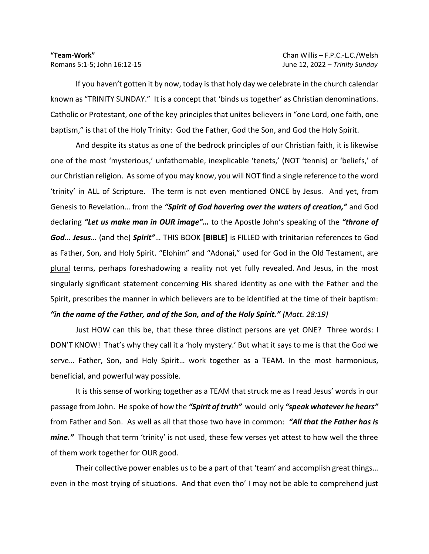## **"Team-Work"** Chan Willis – F.P.C.-L.C./Welsh

If you haven't gotten it by now, today is that holy day we celebrate in the church calendar known as "TRINITY SUNDAY." It is a concept that 'binds us together' as Christian denominations. Catholic or Protestant, one of the key principles that unites believers in "one Lord, one faith, one baptism," is that of the Holy Trinity: God the Father, God the Son, and God the Holy Spirit.

And despite its status as one of the bedrock principles of our Christian faith, it is likewise one of the most 'mysterious,' unfathomable, inexplicable 'tenets,' (NOT 'tennis) or 'beliefs,' of our Christian religion. As some of you may know, you will NOT find a single reference to the word 'trinity' in ALL of Scripture. The term is not even mentioned ONCE by Jesus. And yet, from Genesis to Revelation… from the *"Spirit of God hovering over the waters of creation,"* and God declaring *"Let us make man in OUR image"…* to the Apostle John's speaking of the *"throne of God… Jesus…* (and the) *Spirit"*… THIS BOOK **[BIBLE]** is FILLED with trinitarian references to God as Father, Son, and Holy Spirit. "Elohim" and "Adonai," used for God in the Old Testament, are plural terms, perhaps foreshadowing a reality not yet fully revealed. And Jesus, in the most singularly significant statement concerning His shared identity as one with the Father and the Spirit, prescribes the manner in which believers are to be identified at the time of their baptism: *"in the name of the Father, and of the Son, and of the Holy Spirit." (Matt. 28:19)*

Just HOW can this be, that these three distinct persons are yet ONE? Three words: I DON'T KNOW! That's why they call it a 'holy mystery.' But what it says to me is that the God we serve… Father, Son, and Holy Spirit… work together as a TEAM. In the most harmonious, beneficial, and powerful way possible.

It is this sense of working together as a TEAM that struck me as I read Jesus' words in our passage from John. He spoke of how the *"Spirit of truth"* would only *"speak whatever he hears"*  from Father and Son. As well as all that those two have in common: *"All that the Father has is mine."* Though that term 'trinity' is not used, these few verses yet attest to how well the three of them work together for OUR good.

Their collective power enables us to be a part of that 'team' and accomplish great things… even in the most trying of situations. And that even tho' I may not be able to comprehend just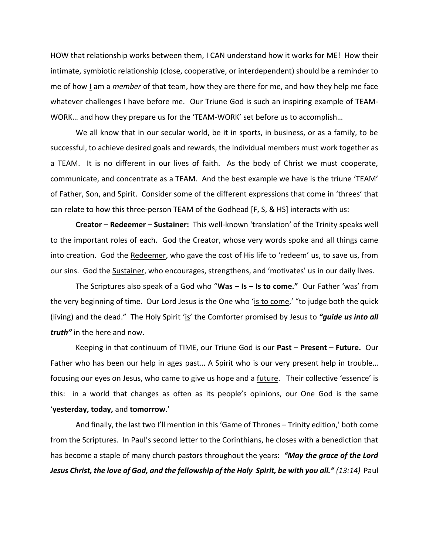HOW that relationship works between them, I CAN understand how it works for ME! How their intimate, symbiotic relationship (close, cooperative, or interdependent) should be a reminder to me of how **I** am a *member* of that team, how they are there for me, and how they help me face whatever challenges I have before me. Our Triune God is such an inspiring example of TEAM-WORK… and how they prepare us for the 'TEAM-WORK' set before us to accomplish…

We all know that in our secular world, be it in sports, in business, or as a family, to be successful, to achieve desired goals and rewards, the individual members must work together as a TEAM. It is no different in our lives of faith. As the body of Christ we must cooperate, communicate, and concentrate as a TEAM. And the best example we have is the triune 'TEAM' of Father, Son, and Spirit. Consider some of the different expressions that come in 'threes' that can relate to how this three-person TEAM of the Godhead [F, S, & HS] interacts with us:

**Creator – Redeemer – Sustainer:** This well-known 'translation' of the Trinity speaks well to the important roles of each. God the Creator, whose very words spoke and all things came into creation. God the Redeemer, who gave the cost of His life to 'redeem' us, to save us, from our sins. God the Sustainer, who encourages, strengthens, and 'motivates' us in our daily lives.

The Scriptures also speak of a God who "**Was – Is – Is to come."** Our Father 'was' from the very beginning of time. Our Lord Jesus is the One who 'is to come,' "to judge both the quick (living) and the dead." The Holy Spirit 'is' the Comforter promised by Jesus to *"guide us into all truth"* in the here and now.

Keeping in that continuum of TIME, our Triune God is our **Past – Present – Future.** Our Father who has been our help in ages past… A Spirit who is our very present help in trouble… focusing our eyes on Jesus, who came to give us hope and a future. Their collective 'essence' is this: in a world that changes as often as its people's opinions, our One God is the same '**yesterday, today,** and **tomorrow**.'

And finally, the last two I'll mention in this 'Game of Thrones – Trinity edition,' both come from the Scriptures. In Paul's second letter to the Corinthians, he closes with a benediction that has become a staple of many church pastors throughout the years: *"May the grace of the Lord Jesus Christ, the love of God, and the fellowship of the Holy Spirit, be with you all." (13:14)* Paul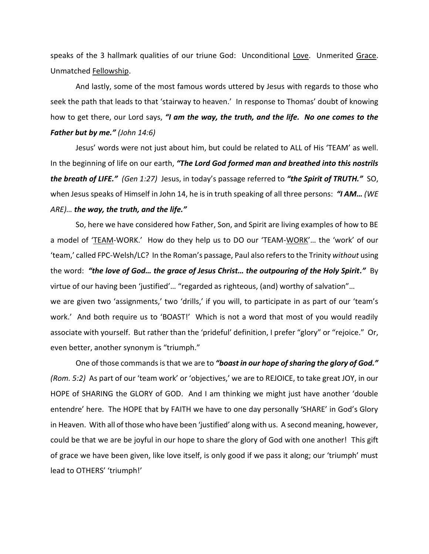speaks of the 3 hallmark qualities of our triune God: Unconditional Love. Unmerited Grace. Unmatched Fellowship.

And lastly, some of the most famous words uttered by Jesus with regards to those who seek the path that leads to that 'stairway to heaven.' In response to Thomas' doubt of knowing how to get there, our Lord says, *"I am the way, the truth, and the life. No one comes to the Father but by me." (John 14:6)*

Jesus' words were not just about him, but could be related to ALL of His 'TEAM' as well. In the beginning of life on our earth, *"The Lord God formed man and breathed into this nostrils the breath of LIFE." (Gen 1:27)* Jesus, in today's passage referred to *"the Spirit of TRUTH."* SO, when Jesus speaks of Himself in John 14, he is in truth speaking of all three persons: *"I AM… (WE ARE)… the way, the truth, and the life."* 

So, here we have considered how Father, Son, and Spirit are living examples of how to BE a model of 'TEAM-WORK.' How do they help us to DO our 'TEAM-WORK'… the 'work' of our 'team,' called FPC-Welsh/LC? In the Roman's passage, Paul also refers to the Trinity *without* using the word: "the love of God... the grace of Jesus Christ... the outpouring of the Holy Spirit." By virtue of our having been 'justified'… "regarded as righteous, (and) worthy of salvation"… we are given two 'assignments,' two 'drills,' if you will, to participate in as part of our 'team's work.' And both require us to 'BOAST!' Which is not a word that most of you would readily associate with yourself. But rather than the 'prideful' definition, I prefer "glory" or "rejoice." Or, even better, another synonym is "triumph."

One of those commands is that we are to *"boast in our hope of sharing the glory of God." (Rom. 5:2)* As part of our 'team work' or 'objectives,' we are to REJOICE, to take great JOY, in our HOPE of SHARING the GLORY of GOD. And I am thinking we might just have another 'double entendre' here. The HOPE that by FAITH we have to one day personally 'SHARE' in God's Glory in Heaven. With all of those who have been 'justified' along with us. A second meaning, however, could be that we are be joyful in our hope to share the glory of God with one another! This gift of grace we have been given, like love itself, is only good if we pass it along; our 'triumph' must lead to OTHERS' 'triumph!'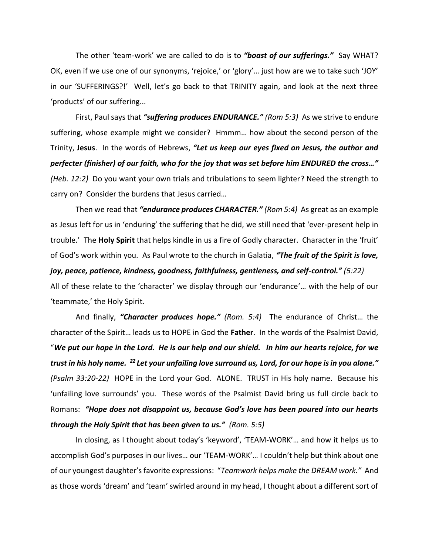The other 'team-work' we are called to do is to *"boast of our sufferings."* Say WHAT? OK, even if we use one of our synonyms, 'rejoice,' or 'glory'… just how are we to take such 'JOY' in our 'SUFFERINGS?!' Well, let's go back to that TRINITY again, and look at the next three 'products' of our suffering...

First, Paul says that *"suffering produces ENDURANCE." (Rom 5:3)* As we strive to endure suffering, whose example might we consider? Hmmm… how about the second person of the Trinity, **Jesus**. In the words of Hebrews, *"Let us keep our eyes fixed on Jesus, the author and perfecter (finisher) of our faith, who for the joy that was set before him ENDURED the cross…" (Heb. 12:2)* Do you want your own trials and tribulations to seem lighter? Need the strength to carry on? Consider the burdens that Jesus carried…

Then we read that *"endurance produces CHARACTER." (Rom 5:4)* As great as an example as Jesus left for us in 'enduring' the suffering that he did, we still need that 'ever-present help in trouble.' The **Holy Spirit** that helps kindle in us a fire of Godly character. Character in the 'fruit' of God's work within you. As Paul wrote to the church in Galatia, *"The fruit of the Spirit is love, joy, peace, patience, kindness, goodness, faithfulness, gentleness, and self-control." (5:22)* All of these relate to the 'character' we display through our 'endurance'… with the help of our 'teammate,' the Holy Spirit.

And finally, *"Character produces hope." (Rom. 5:4)* The endurance of Christ… the character of the Spirit… leads us to HOPE in God the **Father**. In the words of the Psalmist David, "*We put our hope in the Lord. He is our help and our shield. In him our hearts rejoice, for we trust in his holy name. <sup>22</sup> Let your unfailing love surround us, Lord, for our hope is in you alone." (Psalm 33:20-22)* HOPE in the Lord your God. ALONE. TRUST in His holy name. Because his 'unfailing love surrounds' you. These words of the Psalmist David bring us full circle back to Romans: *"Hope does not disappoint us, because God's love has been poured into our hearts through the Holy Spirit that has been given to us." (Rom. 5:5)* 

In closing, as I thought about today's 'keyword', 'TEAM-WORK'… and how it helps us to accomplish God's purposes in our lives… our 'TEAM-WORK'… I couldn't help but think about one of our youngest daughter's favorite expressions: "*Teamwork helps make the DREAM work."* And as those words 'dream' and 'team' swirled around in my head, I thought about a different sort of